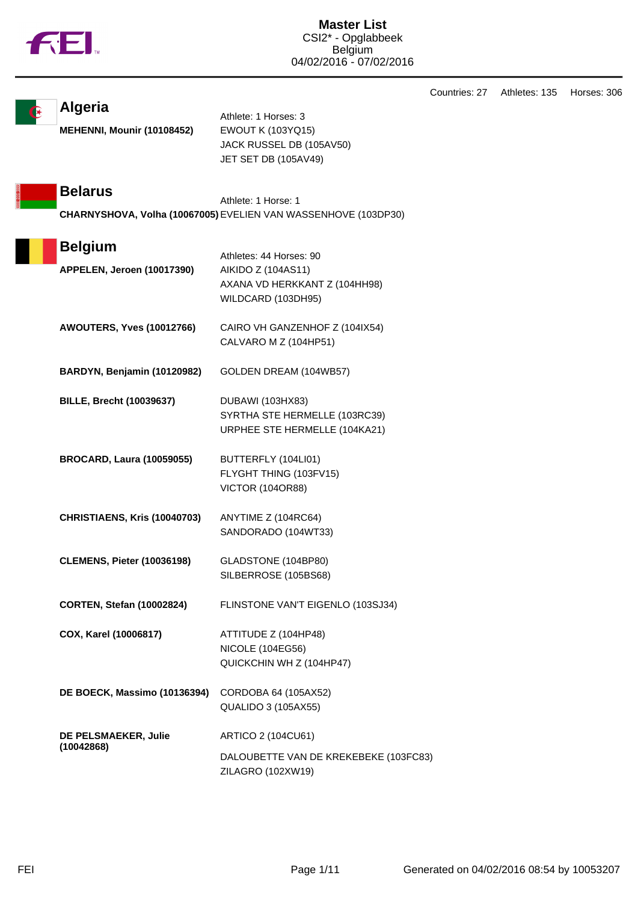

Countries: 27 Athletes: 135 Horses: 306

**MEHENNI, Mounir (10108452)** EWOUT K (103YQ15)

Athlete: 1 Horses: 3 JACK RUSSEL DB (105AV50) JET SET DB (105AV49)

**Belarus** Athlete: 1 Horse: 1 **CHARNYSHOVA, Volha (10067005)**EVELIEN VAN WASSENHOVE (103DP30)

| <b>Belgium</b>                     | Athletes: 44 Horses: 90               |
|------------------------------------|---------------------------------------|
| APPELEN, Jeroen (10017390)         | AIKIDO Z (104AS11)                    |
|                                    | AXANA VD HERKKANT Z (104HH98)         |
|                                    | WILDCARD (103DH95)                    |
| <b>AWOUTERS, Yves (10012766)</b>   | CAIRO VH GANZENHOF Z (104IX54)        |
|                                    | CALVARO M Z (104HP51)                 |
| BARDYN, Benjamin (10120982)        | GOLDEN DREAM (104WB57)                |
| <b>BILLE, Brecht (10039637)</b>    | DUBAWI (103HX83)                      |
|                                    | SYRTHA STE HERMELLE (103RC39)         |
|                                    | URPHEE STE HERMELLE (104KA21)         |
| <b>BROCARD, Laura (10059055)</b>   | BUTTERFLY (104LI01)                   |
|                                    | FLYGHT THING (103FV15)                |
|                                    | <b>VICTOR (104OR88)</b>               |
| CHRISTIAENS, Kris (10040703)       | ANYTIME Z (104RC64)                   |
|                                    | SANDORADO (104WT33)                   |
| <b>CLEMENS, Pieter (10036198)</b>  | GLADSTONE (104BP80)                   |
|                                    | SILBERROSE (105BS68)                  |
| <b>CORTEN, Stefan (10002824)</b>   | FLINSTONE VAN'T EIGENLO (103SJ34)     |
| COX, Karel (10006817)              | ATTITUDE Z (104HP48)                  |
|                                    | NICOLE (104EG56)                      |
|                                    | QUICKCHIN WH Z (104HP47)              |
| DE BOECK, Massimo (10136394)       | CORDOBA 64 (105AX52)                  |
|                                    | <b>QUALIDO 3 (105AX55)</b>            |
| DE PELSMAEKER, Julie<br>(10042868) | ARTICO 2 (104CU61)                    |
|                                    | DALOUBETTE VAN DE KREKEBEKE (103FC83) |
|                                    | ZILAGRO (102XW19)                     |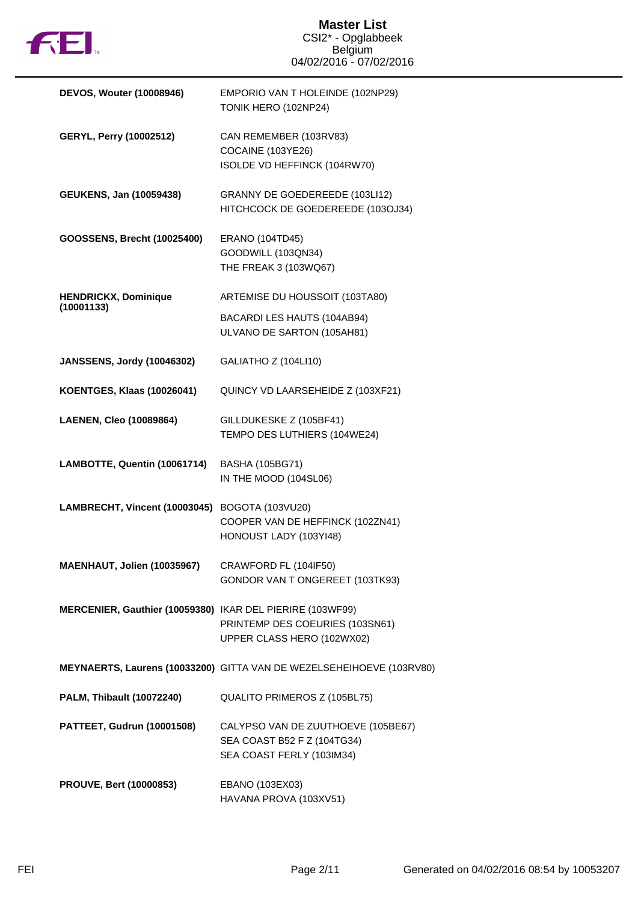

| <b>DEVOS, Wouter (10008946)</b>                           | EMPORIO VAN T HOLEINDE (102NP29)<br>TONIK HERO (102NP24)                                       |
|-----------------------------------------------------------|------------------------------------------------------------------------------------------------|
| GERYL, Perry (10002512)                                   | CAN REMEMBER (103RV83)<br>COCAINE (103YE26)<br>ISOLDE VD HEFFINCK (104RW70)                    |
| <b>GEUKENS, Jan (10059438)</b>                            | GRANNY DE GOEDEREEDE (103LI12)<br>HITCHCOCK DE GOEDEREEDE (103OJ34)                            |
| GOOSSENS, Brecht (10025400)                               | ERANO (104TD45)<br>GOODWILL (103QN34)<br>THE FREAK 3 (103WQ67)                                 |
| <b>HENDRICKX, Dominique</b><br>(10001133)                 | ARTEMISE DU HOUSSOIT (103TA80)<br>BACARDI LES HAUTS (104AB94)<br>ULVANO DE SARTON (105AH81)    |
| <b>JANSSENS, Jordy (10046302)</b>                         | GALIATHO Z (104LI10)                                                                           |
| <b>KOENTGES, Klaas (10026041)</b>                         | QUINCY VD LAARSEHEIDE Z (103XF21)                                                              |
| LAENEN, Cleo (10089864)                                   | GILLDUKESKE Z (105BF41)<br>TEMPO DES LUTHIERS (104WE24)                                        |
| LAMBOTTE, Quentin (10061714)                              | <b>BASHA (105BG71)</b><br>IN THE MOOD (104SL06)                                                |
| LAMBRECHT, Vincent (10003045) BOGOTA (103VU20)            | COOPER VAN DE HEFFINCK (102ZN41)<br>HONOUST LADY (103YI48)                                     |
| MAENHAUT, Jolien (10035967)                               | CRAWFORD FL (104IF50)<br>GONDOR VAN TONGEREET (103TK93)                                        |
| MERCENIER, Gauthier (10059380) IKAR DEL PIERIRE (103WF99) | PRINTEMP DES COEURIES (103SN61)<br>UPPER CLASS HERO (102WX02)                                  |
|                                                           | MEYNAERTS, Laurens (10033200) GITTA VAN DE WEZELSEHEIHOEVE (103RV80)                           |
| PALM, Thibault (10072240)                                 | QUALITO PRIMEROS Z (105BL75)                                                                   |
| <b>PATTEET, Gudrun (10001508)</b>                         | CALYPSO VAN DE ZUUTHOEVE (105BE67)<br>SEA COAST B52 F Z (104TG34)<br>SEA COAST FERLY (103IM34) |
| <b>PROUVE, Bert (10000853)</b>                            | EBANO (103EX03)<br>HAVANA PROVA (103XV51)                                                      |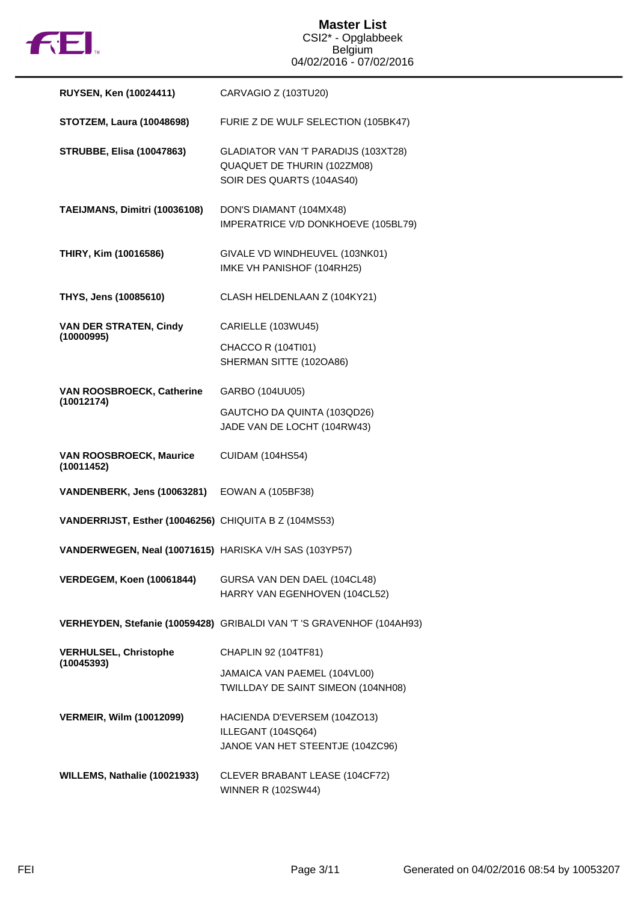

| <b>RUYSEN, Ken (10024411)</b>                          | CARVAGIO Z (103TU20)                                                                            |
|--------------------------------------------------------|-------------------------------------------------------------------------------------------------|
| <b>STOTZEM, Laura (10048698)</b>                       | FURIE Z DE WULF SELECTION (105BK47)                                                             |
| <b>STRUBBE, Elisa (10047863)</b>                       | GLADIATOR VAN 'T PARADIJS (103XT28)<br>QUAQUET DE THURIN (102ZM08)<br>SOIR DES QUARTS (104AS40) |
| TAEIJMANS, Dimitri (10036108)                          | DON'S DIAMANT (104MX48)<br>IMPERATRICE V/D DONKHOEVE (105BL79)                                  |
| THIRY, Kim (10016586)                                  | GIVALE VD WINDHEUVEL (103NK01)<br>IMKE VH PANISHOF (104RH25)                                    |
| <b>THYS, Jens (10085610)</b>                           | CLASH HELDENLAAN Z (104KY21)                                                                    |
| <b>VAN DER STRATEN, Cindy</b><br>(10000995)            | CARIELLE (103WU45)                                                                              |
|                                                        | CHACCO R (104TI01)<br>SHERMAN SITTE (102OA86)                                                   |
| VAN ROOSBROECK, Catherine<br>(10012174)                | GARBO (104UU05)                                                                                 |
|                                                        | GAUTCHO DA QUINTA (103QD26)<br>JADE VAN DE LOCHT (104RW43)                                      |
| <b>VAN ROOSBROECK, Maurice</b><br>(10011452)           | <b>CUIDAM (104HS54)</b>                                                                         |
| <b>VANDENBERK, Jens (10063281)</b>                     | EOWAN A (105BF38)                                                                               |
| VANDERRIJST, Esther (10046256) CHIQUITA B Z (104MS53)  |                                                                                                 |
| VANDERWEGEN, Neal (10071615) HARISKA V/H SAS (103YP57) |                                                                                                 |
| <b>VERDEGEM, Koen (10061844)</b>                       | GURSA VAN DEN DAEL (104CL48)<br>HARRY VAN EGENHOVEN (104CL52)                                   |
|                                                        | VERHEYDEN, Stefanie (10059428) GRIBALDI VAN 'T 'S GRAVENHOF (104AH93)                           |
| <b>VERHULSEL, Christophe</b><br>(10045393)             | CHAPLIN 92 (104TF81)                                                                            |
|                                                        | JAMAICA VAN PAEMEL (104VL00)<br>TWILLDAY DE SAINT SIMEON (104NH08)                              |
| <b>VERMEIR, Wilm (10012099)</b>                        | HACIENDA D'EVERSEM (104ZO13)<br>ILLEGANT (104SQ64)<br>JANOE VAN HET STEENTJE (104ZC96)          |
| WILLEMS, Nathalie (10021933)                           | CLEVER BRABANT LEASE (104CF72)<br><b>WINNER R (102SW44)</b>                                     |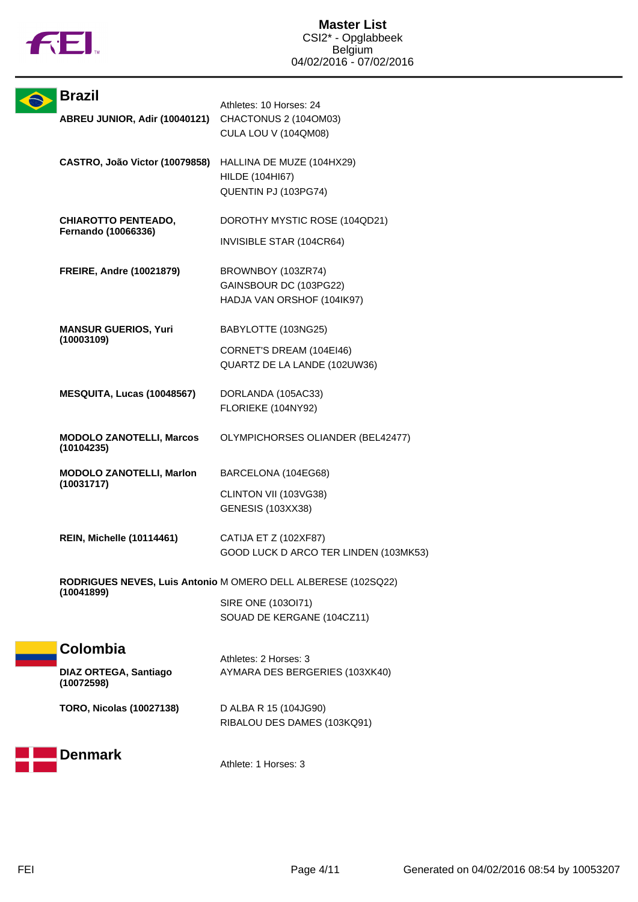

| <b>Brazil</b>                                     | Athletes: 10 Horses: 24                                                                                           |
|---------------------------------------------------|-------------------------------------------------------------------------------------------------------------------|
| ABREU JUNIOR, Adir (10040121)                     | CHACTONUS 2 (104OM03)<br>CULA LOU V (104QM08)                                                                     |
| CASTRO, João Victor (10079858)                    | HALLINA DE MUZE (104HX29)<br>HILDE (104HI67)<br>QUENTIN PJ (103PG74)                                              |
| <b>CHIAROTTO PENTEADO,</b><br>Fernando (10066336) | DOROTHY MYSTIC ROSE (104QD21)<br>INVISIBLE STAR (104CR64)                                                         |
| <b>FREIRE, Andre (10021879)</b>                   | BROWNBOY (103ZR74)<br>GAINSBOUR DC (103PG22)<br>HADJA VAN ORSHOF (104IK97)                                        |
| <b>MANSUR GUERIOS, Yuri</b><br>(10003109)         | BABYLOTTE (103NG25)<br>CORNET'S DREAM (104EI46)<br>QUARTZ DE LA LANDE (102UW36)                                   |
| MESQUITA, Lucas (10048567)                        | DORLANDA (105AC33)<br>FLORIEKE (104NY92)                                                                          |
| <b>MODOLO ZANOTELLI, Marcos</b><br>(10104235)     | OLYMPICHORSES OLIANDER (BEL42477)                                                                                 |
| <b>MODOLO ZANOTELLI, Marlon</b><br>(10031717)     | BARCELONA (104EG68)<br>CLINTON VII (103VG38)<br><b>GENESIS (103XX38)</b>                                          |
| <b>REIN, Michelle (10114461)</b>                  | CATIJA ET Z (102XF87)<br>GOOD LUCK D ARCO TER LINDEN (103MK53)                                                    |
| (10041899)                                        | RODRIGUES NEVES, Luis Antonio M OMERO DELL ALBERESE (102SQ22)<br>SIRE ONE (103OI71)<br>SOUAD DE KERGANE (104CZ11) |
| Colombia<br><b>DIAZ ORTEGA, Santiago</b>          | Athletes: 2 Horses: 3<br>AYMARA DES BERGERIES (103XK40)                                                           |
| (10072598)<br><b>TORO, Nicolas (10027138)</b>     | D ALBA R 15 (104JG90)<br>RIBALOU DES DAMES (103KQ91)                                                              |
| با مرد ممر مر                                     |                                                                                                                   |



Athlete: 1 Horses: 3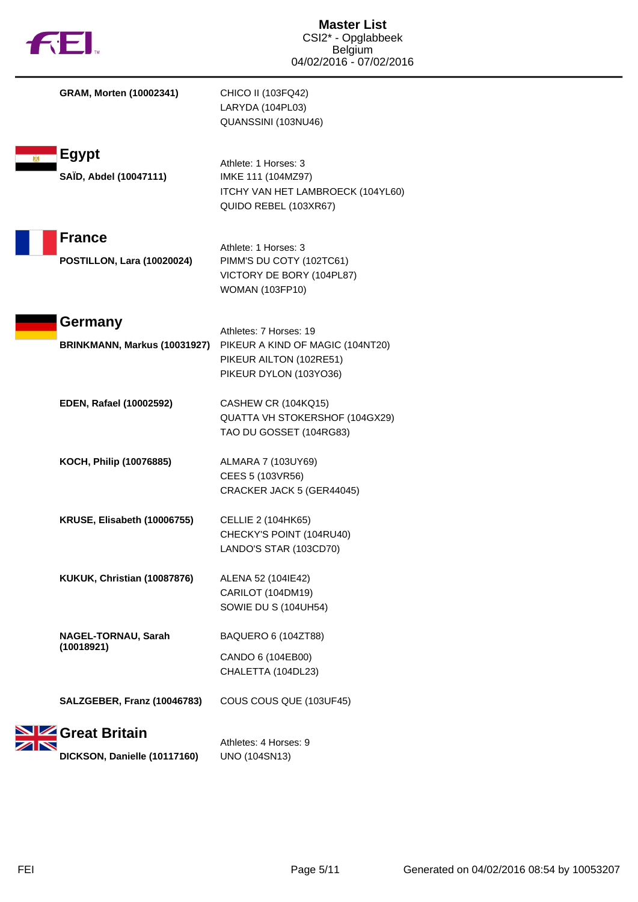|   | <b>FEI.</b>                                        | <b>Master List</b><br>CSI2* - Opglabbeek<br><b>Belgium</b><br>04/02/2016 - 07/02/2016                           |
|---|----------------------------------------------------|-----------------------------------------------------------------------------------------------------------------|
|   | GRAM, Morten (10002341)                            | CHICO II (103FQ42)<br>LARYDA (104PL03)<br>QUANSSINI (103NU46)                                                   |
| Ŵ | <b>Egypt</b><br>SAÏD, Abdel (10047111)             | Athlete: 1 Horses: 3<br>IMKE 111 (104MZ97)<br>ITCHY VAN HET LAMBROECK (104YL60)<br>QUIDO REBEL (103XR67)        |
|   | <b>France</b><br><b>POSTILLON, Lara (10020024)</b> | Athlete: 1 Horses: 3<br>PIMM'S DU COTY (102TC61)<br>VICTORY DE BORY (104PL87)<br><b>WOMAN (103FP10)</b>         |
|   | Germany<br>BRINKMANN, Markus (10031927)            | Athletes: 7 Horses: 19<br>PIKEUR A KIND OF MAGIC (104NT20)<br>PIKEUR AILTON (102RE51)<br>PIKEUR DYLON (103YO36) |
|   | EDEN, Rafael (10002592)                            | CASHEW CR (104KQ15)<br>QUATTA VH STOKERSHOF (104GX29)<br>TAO DU GOSSET (104RG83)                                |
|   | KOCH, Philip (10076885)                            | ALMARA 7 (103UY69)<br>CEES 5 (103VR56)<br>CRACKER JACK 5 (GER44045)                                             |
|   | KRUSE, Elisabeth (10006755)                        | <b>CELLIE 2 (104HK65)</b><br>CHECKY'S POINT (104RU40)<br>LANDO'S STAR (103CD70)                                 |
|   | KUKUK, Christian (10087876)                        | ALENA 52 (1041E42)<br>CARILOT (104DM19)<br>SOWIE DU S (104UH54)                                                 |
|   | NAGEL-TORNAU, Sarah<br>(10018921)                  | <b>BAQUERO 6 (104ZT88)</b><br>CANDO 6 (104EB00)<br>CHALETTA (104DL23)                                           |
|   | SALZGEBER, Franz (10046783)                        | COUS COUS QUE (103UF45)                                                                                         |
|   | Great Britain                                      | Athletes: 4 Horses: 9                                                                                           |
|   | DICKSON, Danielle (10117160)                       | <b>UNO (104SN13)</b>                                                                                            |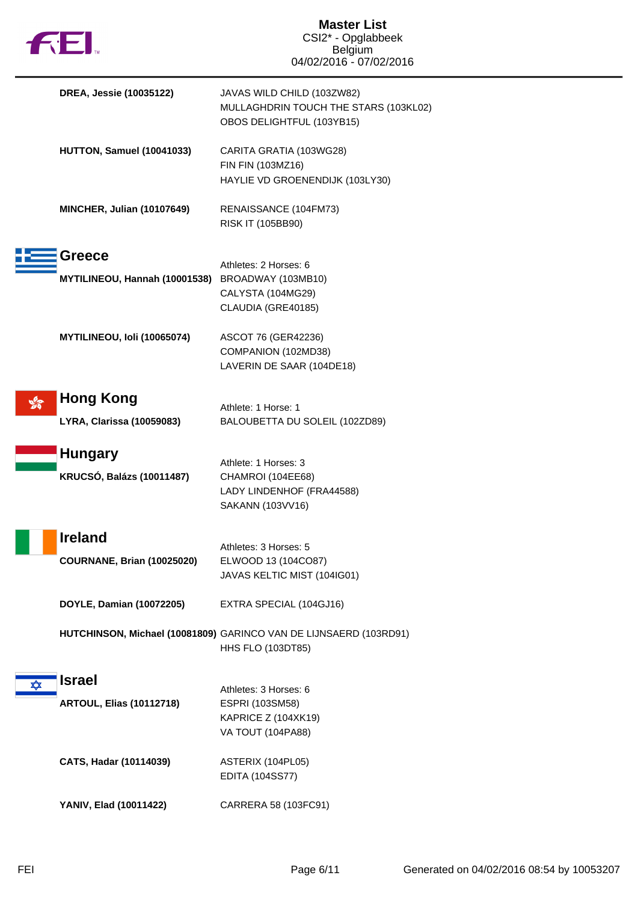|   | FEI.                                                | <b>Master List</b><br>CSI2* - Opglabbeek<br><b>Belgium</b><br>04/02/2016 - 07/02/2016            |
|---|-----------------------------------------------------|--------------------------------------------------------------------------------------------------|
|   | DREA, Jessie (10035122)                             | JAVAS WILD CHILD (103ZW82)<br>MULLAGHDRIN TOUCH THE STARS (103KL02)<br>OBOS DELIGHTFUL (103YB15) |
|   | <b>HUTTON, Samuel (10041033)</b>                    | CARITA GRATIA (103WG28)<br>FIN FIN (103MZ16)<br>HAYLIE VD GROENENDIJK (103LY30)                  |
|   | <b>MINCHER, Julian (10107649)</b>                   | RENAISSANCE (104FM73)<br>RISK IT (105BB90)                                                       |
|   | Greece<br>MYTILINEOU, Hannah (10001538)             | Athletes: 2 Horses: 6<br>BROADWAY (103MB10)<br>CALYSTA (104MG29)<br>CLAUDIA (GRE40185)           |
|   | MYTILINEOU, Ioli (10065074)                         | ASCOT 76 (GER42236)<br>COMPANION (102MD38)<br>LAVERIN DE SAAR (104DE18)                          |
|   | <b>Hong Kong</b>                                    | Athlete: 1 Horse: 1                                                                              |
|   | <b>LYRA, Clarissa (10059083)</b>                    | BALOUBETTA DU SOLEIL (102ZD89)                                                                   |
|   | <b>Hungary</b><br><b>KRUCSÓ, Balázs (10011487)</b>  | Athlete: 1 Horses: 3<br>CHAMROI (104EE68)<br>LADY LINDENHOF (FRA44588)<br>SAKANN (103VV16)       |
|   | <b>Ireland</b><br><b>COURNANE, Brian (10025020)</b> | Athletes: 3 Horses: 5<br>ELWOOD 13 (104CO87)<br>JAVAS KELTIC MIST (104IG01)                      |
|   | DOYLE, Damian (10072205)                            | EXTRA SPECIAL (104GJ16)                                                                          |
|   |                                                     | HUTCHINSON, Michael (10081809) GARINCO VAN DE LIJNSAERD (103RD91)<br><b>HHS FLO (103DT85)</b>    |
| ✿ | <b>Israel</b><br><b>ARTOUL, Elias (10112718)</b>    | Athletes: 3 Horses: 6<br>ESPRI (103SM58)<br>KAPRICE Z (104XK19)<br>VA TOUT (104PA88)             |
|   | CATS, Hadar (10114039)                              | ASTERIX (104PL05)<br><b>EDITA (104SS77)</b>                                                      |
|   | YANIV, Elad (10011422)                              | CARRERA 58 (103FC91)                                                                             |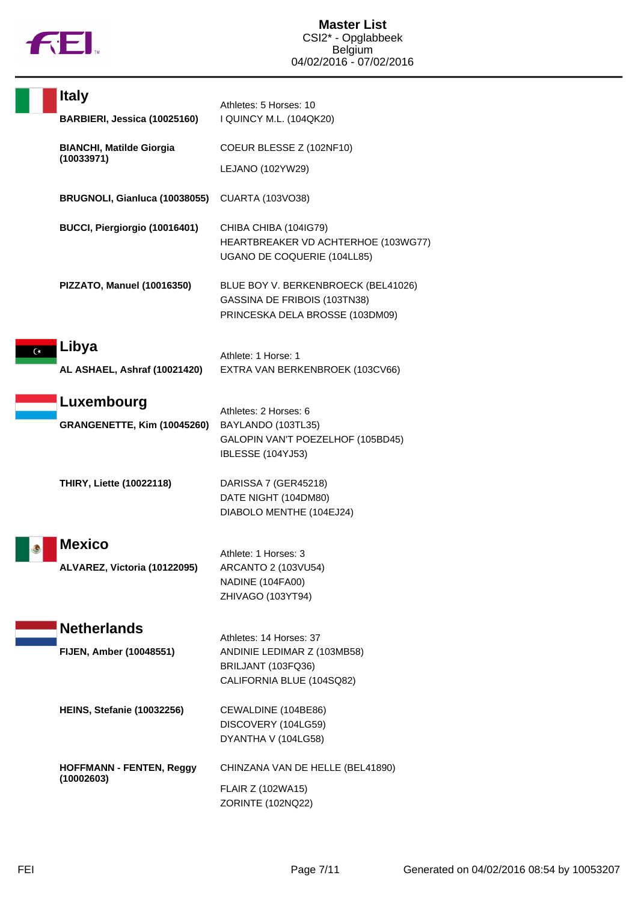

|                      | <b>Italy</b><br>BARBIERI, Jessica (10025160)         | Athletes: 5 Horses: 10<br>I QUINCY M.L. (104QK20)                                                         |
|----------------------|------------------------------------------------------|-----------------------------------------------------------------------------------------------------------|
|                      | <b>BIANCHI, Matilde Giorgia</b><br>(10033971)        | COEUR BLESSE Z (102NF10)<br>LEJANO (102YW29)                                                              |
|                      | BRUGNOLI, Gianluca (10038055)                        | <b>CUARTA (103VO38)</b>                                                                                   |
|                      | BUCCI, Piergiorgio (10016401)                        | CHIBA CHIBA (104IG79)<br>HEARTBREAKER VD ACHTERHOE (103WG77)<br>UGANO DE COQUERIE (104LL85)               |
|                      | PIZZATO, Manuel (10016350)                           | BLUE BOY V. BERKENBROECK (BEL41026)<br>GASSINA DE FRIBOIS (103TN38)<br>PRINCESKA DELA BROSSE (103DM09)    |
| $\mathsf{C}^{\star}$ | Libya<br>AL ASHAEL, Ashraf (10021420)                | Athlete: 1 Horse: 1<br>EXTRA VAN BERKENBROEK (103CV66)                                                    |
|                      | Luxembourg<br><b>GRANGENETTE, Kim (10045260)</b>     | Athletes: 2 Horses: 6<br>BAYLANDO (103TL35)<br>GALOPIN VAN'T POEZELHOF (105BD45)<br>IBLESSE (104YJ53)     |
|                      | <b>THIRY, Liette (10022118)</b>                      | DARISSA 7 (GER45218)<br>DATE NIGHT (104DM80)<br>DIABOLO MENTHE (104EJ24)                                  |
|                      | <b>Mexico</b><br>ALVAREZ, Victoria (10122095)        | Athlete: 1 Horses: 3<br>ARCANTO 2 (103VU54)<br>NADINE (104FA00)<br>ZHIVAGO (103YT94)                      |
|                      | <b>Netherlands</b><br><b>FIJEN, Amber (10048551)</b> | Athletes: 14 Horses: 37<br>ANDINIE LEDIMAR Z (103MB58)<br>BRILJANT (103FQ36)<br>CALIFORNIA BLUE (104SQ82) |
|                      | <b>HEINS, Stefanie (10032256)</b>                    | CEWALDINE (104BE86)<br>DISCOVERY (104LG59)<br>DYANTHA V (104LG58)                                         |
|                      | <b>HOFFMANN - FENTEN, Reggy</b><br>(10002603)        | CHINZANA VAN DE HELLE (BEL41890)<br>FLAIR Z (102WA15)<br>ZORINTE (102NQ22)                                |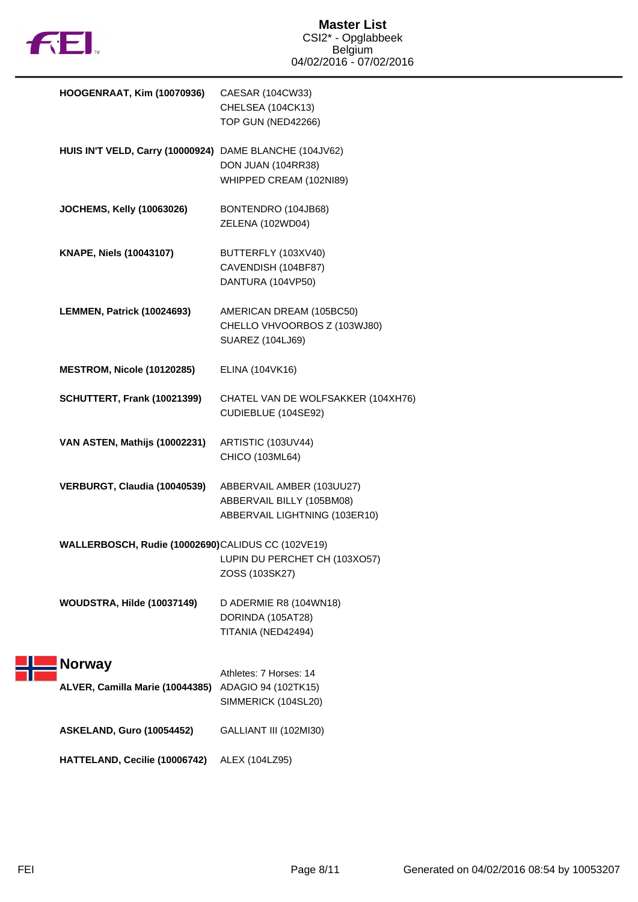

| HOOGENRAAT, Kim (10070936)                              | CAESAR (104CW33)                        |
|---------------------------------------------------------|-----------------------------------------|
|                                                         | CHELSEA (104CK13)<br>TOP GUN (NED42266) |
|                                                         |                                         |
| HUIS IN'T VELD, Carry (10000924) DAME BLANCHE (104JV62) |                                         |
|                                                         | DON JUAN (104RR38)                      |
|                                                         | WHIPPED CREAM (102NI89)                 |
| <b>JOCHEMS, Kelly (10063026)</b>                        | BONTENDRO (104JB68)                     |
|                                                         | ZELENA (102WD04)                        |
| <b>KNAPE, Niels (10043107)</b>                          | BUTTERFLY (103XV40)                     |
|                                                         | CAVENDISH (104BF87)                     |
|                                                         | DANTURA (104VP50)                       |
| LEMMEN, Patrick (10024693)                              | AMERICAN DREAM (105BC50)                |
|                                                         | CHELLO VHVOORBOS Z (103WJ80)            |
|                                                         | SUAREZ (104LJ69)                        |
| MESTROM, Nicole (10120285)                              | ELINA (104VK16)                         |
| SCHUTTERT, Frank (10021399)                             | CHATEL VAN DE WOLFSAKKER (104XH76)      |
|                                                         | CUDIEBLUE (104SE92)                     |
| VAN ASTEN, Mathijs (10002231)                           | ARTISTIC (103UV44)                      |
|                                                         | CHICO (103ML64)                         |
| VERBURGT, Claudia (10040539)                            | ABBERVAIL AMBER (103UU27)               |
|                                                         | ABBERVAIL BILLY (105BM08)               |
|                                                         | ABBERVAIL LIGHTNING (103ER10)           |
| WALLERBOSCH, Rudie (10002690)CALIDUS CC (102VE19)       |                                         |
|                                                         | LUPIN DU PERCHET CH (103XO57)           |
|                                                         | ZOSS (103SK27)                          |
| WOUDSTRA, Hilde (10037149)                              | D ADERMIE R8 (104WN18)                  |
|                                                         | DORINDA (105AT28)                       |
|                                                         | TITANIA (NED42494)                      |
| <b>Norway</b>                                           |                                         |
|                                                         | Athletes: 7 Horses: 14                  |
| ALVER, Camilla Marie (10044385) ADAGIO 94 (102TK15)     | SIMMERICK (104SL20)                     |
|                                                         |                                         |
| <b>ASKELAND, Guro (10054452)</b>                        | GALLIANT III (102MI30)                  |
| HATTELAND, Cecilie (10006742)                           | ALEX (104LZ95)                          |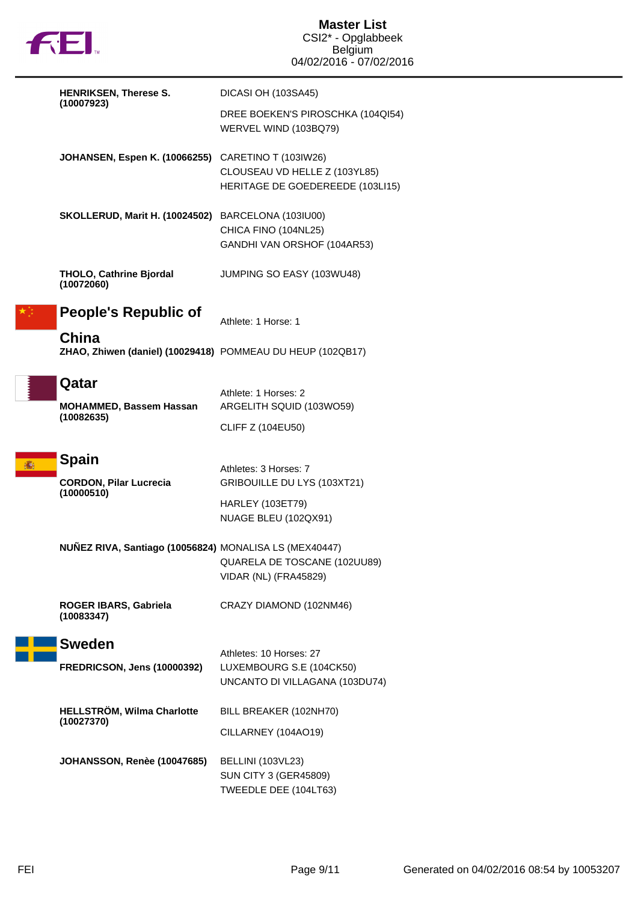

| <b>HENRIKSEN, Therese S.</b> | DICASI OH (103SA45)                                                 |                                                                                       |
|------------------------------|---------------------------------------------------------------------|---------------------------------------------------------------------------------------|
|                              | (10007923)                                                          | DREE BOEKEN'S PIROSCHKA (104QI54)<br>WERVEL WIND (103BQ79)                            |
|                              | JOHANSEN, Espen K. (10066255) CARETINO T (103IW26)                  | CLOUSEAU VD HELLE Z (103YL85)<br>HERITAGE DE GOEDEREEDE (103LI15)                     |
|                              | SKOLLERUD, Marit H. (10024502) BARCELONA (103IU00)                  | CHICA FINO (104NL25)<br>GANDHI VAN ORSHOF (104AR53)                                   |
|                              | <b>THOLO, Cathrine Bjordal</b><br>(10072060)                        | JUMPING SO EASY (103WU48)                                                             |
|                              | <b>People's Republic of</b>                                         | Athlete: 1 Horse: 1                                                                   |
|                              | China<br>ZHAO, Zhiwen (daniel) (10029418) POMMEAU DU HEUP (102QB17) |                                                                                       |
|                              | Qatar                                                               | Athlete: 1 Horses: 2                                                                  |
|                              | MOHAMMED, Bassem Hassan<br>(10082635)                               | ARGELITH SQUID (103WO59)                                                              |
|                              |                                                                     | <b>CLIFF Z (104EU50)</b>                                                              |
|                              |                                                                     |                                                                                       |
|                              | <b>Spain</b>                                                        |                                                                                       |
|                              | <b>CORDON, Pilar Lucrecia</b>                                       | Athletes: 3 Horses: 7<br>GRIBOUILLE DU LYS (103XT21)                                  |
|                              | (10000510)                                                          | <b>HARLEY (103ET79)</b><br>NUAGE BLEU (102QX91)                                       |
|                              | NUÑEZ RIVA, Santiago (10056824) MONALISA LS (MEX40447)              | QUARELA DE TOSCANE (102UU89)<br>VIDAR (NL) (FRA45829)                                 |
|                              | <b>ROGER IBARS, Gabriela</b><br>(10083347)                          | CRAZY DIAMOND (102NM46)                                                               |
|                              | <b>Sweden</b>                                                       |                                                                                       |
|                              | FREDRICSON, Jens (10000392)                                         | Athletes: 10 Horses: 27<br>LUXEMBOURG S.E (104CK50)<br>UNCANTO DI VILLAGANA (103DU74) |
|                              | <b>HELLSTRÖM, Wilma Charlotte</b>                                   | BILL BREAKER (102NH70)                                                                |
|                              | (10027370)                                                          | CILLARNEY (104AO19)                                                                   |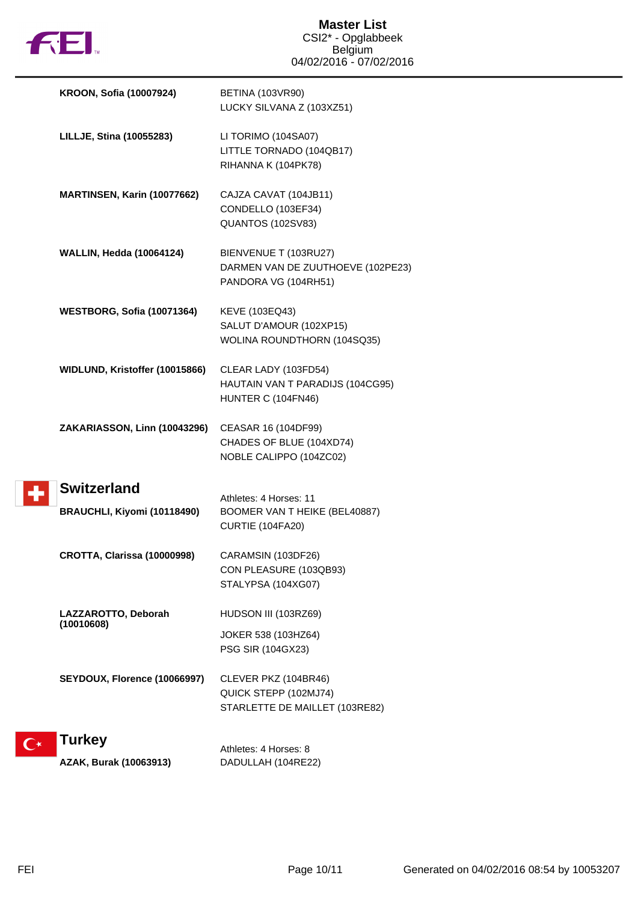

| <b>KROON, Sofia (10007924)</b>     | <b>BETINA (103VR90)</b><br>LUCKY SILVANA Z (103XZ51)                               |
|------------------------------------|------------------------------------------------------------------------------------|
| LILLJE, Stina (10055283)           | LI TORIMO (104SA07)<br>LITTLE TORNADO (104QB17)<br>RIHANNA K (104PK78)             |
| MARTINSEN, Karin (10077662)        | CAJZA CAVAT (104JB11)<br>CONDELLO (103EF34)<br><b>QUANTOS (102SV83)</b>            |
| <b>WALLIN, Hedda (10064124)</b>    | BIENVENUE T (103RU27)<br>DARMEN VAN DE ZUUTHOEVE (102PE23)<br>PANDORA VG (104RH51) |
| WESTBORG, Sofia (10071364)         | KEVE (103EQ43)<br>SALUT D'AMOUR (102XP15)<br>WOLINA ROUNDTHORN (104SQ35)           |
| WIDLUND, Kristoffer (10015866)     | CLEAR LADY (103FD54)<br>HAUTAIN VAN T PARADIJS (104CG95)<br>HUNTER C (104FN46)     |
| ZAKARIASSON, Linn (10043296)       | CEASAR 16 (104DF99)<br>CHADES OF BLUE (104XD74)<br>NOBLE CALIPPO (104ZC02)         |
| <b>Switzerland</b>                 |                                                                                    |
| BRAUCHLI, Kiyomi (10118490)        | Athletes: 4 Horses: 11<br>BOOMER VAN T HEIKE (BEL40887)<br><b>CURTIE (104FA20)</b> |
| <b>CROTTA, Clarissa (10000998)</b> | CARAMSIN (103DF26)<br>CON PLEASURE (103QB93)<br>STALYPSA (104XG07)                 |
| LAZZAROTTO, Deborah<br>(10010608)  | HUDSON III (103RZ69)                                                               |
|                                    | JOKER 538 (103HZ64)<br>PSG SIR (104GX23)                                           |
| SEYDOUX, Florence (10066997)       | CLEVER PKZ (104BR46)<br>QUICK STEPP (102MJ74)<br>STARLETTE DE MAILLET (103RE82)    |
| <b>Turkey</b>                      | Athletes: 4 Horses: 8                                                              |
| AZAK, Burak (10063913)             | DADULLAH (104RE22)                                                                 |